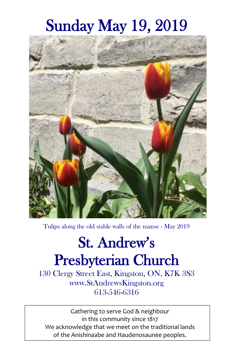# Sunday May 19, 2019



Tulips along the old stable walls of the manse - May 2019

# St. Andrew's Presbyterian Church

130 Clergy Street East, Kingston, ON, K7K 3S3 www.StAndrewsKingston.org 613-546-6316

Gathering to serve God & neighbour in this community since 1817 We acknowledge that we meet on the traditional lands of the Anishinaabe and Haudenosaunee peoples.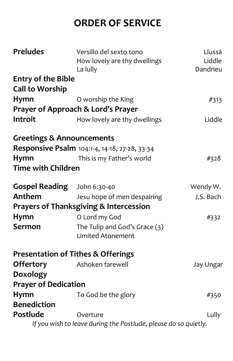# **ORDER OF SERVICE**

| <b>Preludes</b>                      | Versillo del sexto tono                                         | Llussá    |
|--------------------------------------|-----------------------------------------------------------------|-----------|
|                                      | How lovely are thy dwellings                                    | Liddle    |
|                                      | La lully                                                        | Dandrieu  |
| <b>Entry of the Bible</b>            |                                                                 |           |
| <b>Call to Worship</b>               |                                                                 |           |
| Hymn                                 | O worship the King                                              | #313      |
|                                      | Prayer of Approach & Lord's Prayer                              |           |
| Introit                              | How lovely are thy dwellings                                    | Liddle    |
| <b>Greetings &amp; Announcements</b> |                                                                 |           |
|                                      | Responsive Psalm 104:1-4, 14-18, 27-28, 33-34                   |           |
| Hymn                                 | This is my Father's world                                       | #328      |
| <b>Time with Children</b>            |                                                                 |           |
| <b>Gospel Reading</b>                | John 6:30-40                                                    | Wendy W.  |
| Anthem                               | Jesu hope of men despairing                                     | J.S. Bach |
|                                      | <b>Prayers of Thanksgiving &amp; Intercession</b>               |           |
| <b>Hymn</b>                          | O Lord my God                                                   | #332      |
| <b>Sermon</b>                        | The Tulip and God's Grace (3)                                   |           |
|                                      | <b>Limited Atonement</b>                                        |           |
|                                      | <b>Presentation of Tithes &amp; Offerings</b>                   |           |
| <b>Offertory</b>                     | Ashoken farewell                                                | Jay Ungar |
| Doxology                             |                                                                 |           |
| <b>Prayer of Dedication</b>          |                                                                 |           |
| Hymn                                 | To God be the glory                                             | #350      |
| <b>Benediction</b>                   |                                                                 |           |
| Postlude                             | Overture                                                        | Lully     |
|                                      | If you wish to leave during the Postlude, please do so quietly. |           |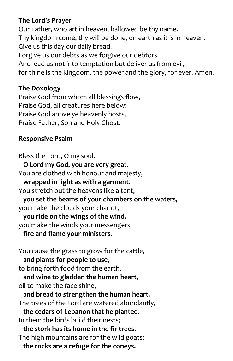#### **The Lord's Prayer**

Our Father, who art in heaven, hallowed be thy name. Thy kingdom come, thy will be done, on earth as it is in heaven. Give us this day our daily bread. Forgive us our debts as we forgive our debtors. And lead us not into temptation but deliver us from evil, for thine is the kingdom, the power and the glory, for ever. Amen.

#### **The Doxology**

Praise God from whom all blessings flow, Praise God, all creatures here below: Praise God above ye heavenly hosts, Praise Father, Son and Holy Ghost.

#### **Responsive Psalm**

Bless the Lord, O my soul.  **O Lord my God, you are very great.** You are clothed with honour and majesty,  **wrapped in light as with a garment.** You stretch out the heavens like a tent,  **you set the beams of your chambers on the waters,** you make the clouds your chariot,  **you ride on the wings of the wind,**  you make the winds your messengers,  **fire and flame your ministers.**  You cause the grass to grow for the cattle,  **and plants for people to use,** to bring forth food from the earth,  **and wine to gladden the human heart,** oil to make the face shine,  **and bread to strengthen the human heart.**  The trees of the Lord are watered abundantly,  **the cedars of Lebanon that he planted.**  In them the birds build their nests;  **the stork has its home in the fir trees.**  The high mountains are for the wild goats;  **the rocks are a refuge for the coneys.**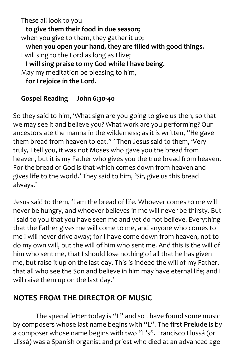These all look to you  **to give them their food in due season;**  when you give to them, they gather it up;  **when you open your hand, they are filled with good things.**  I will sing to the Lord as long as I live;  **I will sing praise to my God while I have being.**  May my meditation be pleasing to him,  **for I rejoice in the Lord.**

#### **Gospel Reading John 6:30-40**

So they said to him, 'What sign are you going to give us then, so that we may see it and believe you? What work are you performing? Our ancestors ate the manna in the wilderness; as it is written, "He gave them bread from heaven to eat." ' Then Jesus said to them, 'Very truly, I tell you, it was not Moses who gave you the bread from heaven, but it is my Father who gives you the true bread from heaven. For the bread of God is that which comes down from heaven and gives life to the world.' They said to him, 'Sir, give us this bread always.'

Jesus said to them, 'I am the bread of life. Whoever comes to me will never be hungry, and whoever believes in me will never be thirsty. But I said to you that you have seen me and yet do not believe. Everything that the Father gives me will come to me, and anyone who comes to me I will never drive away; for I have come down from heaven, not to do my own will, but the will of him who sent me. And this is the will of him who sent me, that I should lose nothing of all that he has given me, but raise it up on the last day. This is indeed the will of my Father, that all who see the Son and believe in him may have eternal life; and I will raise them up on the last day.'

### **NOTES FROM THE DIRECTOR OF MUSIC**

The special letter today is "L" and so I have found some music by composers whose last name begins with "L". The first **Prelude** is by a composer whose name begins with two "L's". Francisco Llussá (or Llissá) was a Spanish organist and priest who died at an advanced age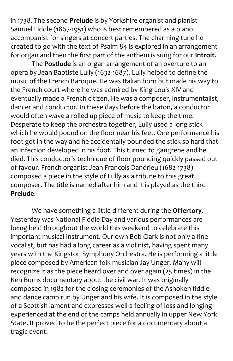in 1738. The second **Prelude** is by Yorkshire organist and pianist Samuel Liddle (1867-1951) who is best remembered as a piano accompanist for singers at concert parties. The charming tune he created to go with the text of Psalm 84 is explored in an arrangement for organ and then the first part of the anthem is sung for our **Introit**.

The **Postlude** is an organ arrangement of an overture to an opera by Jean Baptiste Lully (1632-1687). Lully helped to define the music of the French Baroque. He was Italian born but made his way to the French court where he was admired by King Louis XIV and eventually made a French citizen. He was a composer, instrumentalist, dancer and conductor. In these days before the baton, a conductor would often wave a rolled up piece of music to keep the time. Desperate to keep the orchestra together, Lully used a long stick which he would pound on the floor near his feet. One performance his foot got in the way and he accidentally pounded the stick so hard that an infection developed in his foot. This turned to gangrene and he died. This conductor's technique of floor pounding quickly passed out of favour. French organist Jean François Dandrieu (1682-1738) composed a piece in the style of Lully as a tribute to this great composer. The title is named after him and it is played as the third **Prelude**.

We have something a little different during the **Offertory**. Yesterday was National Fiddle Day and various performances are being held throughout the world this weekend to celebrate this important musical instrument. Our own Bob Clark is not only a fine vocalist, but has had a long career as a violinist, having spent many years with the Kingston Symphony Orchestra. He is performing a little piece composed by American folk musician Jay Unger. Many will recognize it as the piece heard over and over again (25 times) in the Ken Burns documentary about the civil war. It was originally composed in 1982 for the closing ceremonies of the Ashoken fiddle and dance camp run by Unger and his wife. It is composed in the style of a Scottish lament and expresses well a feeling of loss and longing experienced at the end of the camps held annually in upper New York State. It proved to be the perfect piece for a documentary about a tragic event.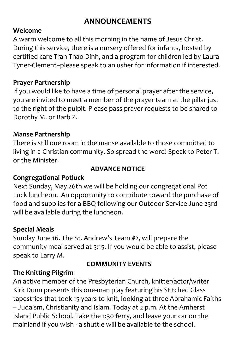## **ANNOUNCEMENTS**

#### **Welcome**

A warm welcome to all this morning in the name of Jesus Christ. During this service, there is a nursery offered for infants, hosted by certified care Tran Thao Dinh, and a program for children led by Laura Tyner-Clement–please speak to an usher for information if interested.

#### **Prayer Partnership**

If you would like to have a time of personal prayer after the service, you are invited to meet a member of the prayer team at the pillar just to the right of the pulpit. Please pass prayer requests to be shared to Dorothy M. or Barb Z.

#### **Manse Partnership**

There is still one room in the manse available to those committed to living in a Christian community. So spread the word! Speak to Peter T. or the Minister.

#### **ADVANCE NOTICE**

#### **Congregational Potluck**

Next Sunday, May 26th we will be holding our congregational Pot Luck luncheon. An opportunity to contribute toward the purchase of food and supplies for a BBQ following our Outdoor Service June 23rd will be available during the luncheon.

#### **Special Meals**

Sunday June 16. The St. Andrew's Team #2, will prepare the community meal served at 5:15. If you would be able to assist, please speak to Larry M.

#### **COMMUNITY EVENTS**

#### **The Knitting Pilgrim**

An active member of the Presbyterian Church, knitter/actor/writer Kirk Dunn presents this one-man play featuring his Stitched Glass tapestries that took 15 years to knit, looking at three Abrahamic Faiths – Judaism, Christianity and Islam. Today at 2 p.m. At the Amherst Island Public School. Take the 1:30 ferry, and leave your car on the mainland if you wish - a shuttle will be available to the school.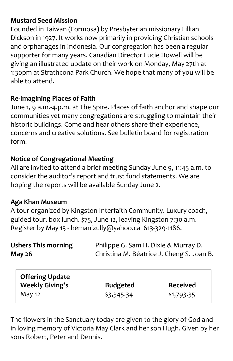#### **Mustard Seed Mission**

Founded in Taiwan (Formosa) by Presbyterian missionary Lillian Dickson in 1927. It works now primarily in providing Christian schools and orphanages in Indonesia. Our congregation has been a regular supporter for many years. Canadian Director Lucie Howell will be giving an illustrated update on their work on Monday, May 27th at 1:30pm at Strathcona Park Church. We hope that many of you will be able to attend.

#### **Re-Imagining Places of Faith**

June 1, 9 a.m.-4.p.m. at The Spire. Places of faith anchor and shape our communities yet many congregations are struggling to maintain their historic buildings. Come and hear others share their experience, concerns and creative solutions. See bulletin board for registration form.

#### **Notice of Congregational Meeting**

All are invited to attend a brief meeting Sunday June 9, 11:45 a.m. to consider the auditor's report and trust fund statements. We are hoping the reports will be available Sunday June 2.

#### **Aga Khan Museum**

A tour organized by Kingston Interfaith Community. Luxury coach, guided tour, box lunch. \$75, June 12, leaving Kingston 7:30 a.m. Register by May 15 - hemanizully@yahoo.ca 613-329-1186.

| <b>Ushers This morning</b><br><b>May 26</b>      |                 | Philippe G. Sam H. Dixie & Murray D.<br>Christina M. Béatrice J. Cheng S. Joan B. |  |
|--------------------------------------------------|-----------------|-----------------------------------------------------------------------------------|--|
| <b>Offering Update</b><br><b>Weekly Giving's</b> | <b>Budgeted</b> | <b>Received</b>                                                                   |  |

May 12 \$3,345.34 \$1,793.35

The flowers in the Sanctuary today are given to the glory of God and in loving memory of Victoria May Clark and her son Hugh. Given by her sons Robert, Peter and Dennis.